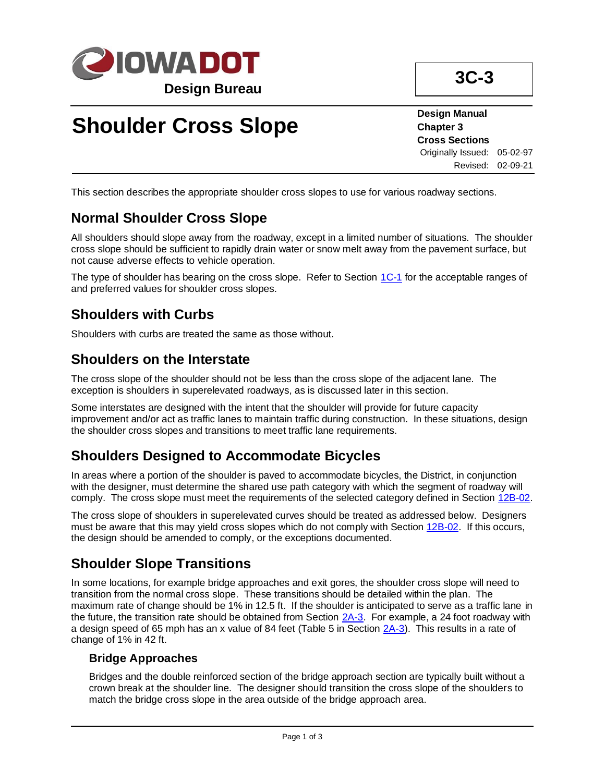

**Design Manual Chapter 3 Cross Sections** Originally Issued: 05-02-97 Revised: 02-09-21

This section describes the appropriate shoulder cross slopes to use for various roadway sections.

# **Normal Shoulder Cross Slope**

All shoulders should slope away from the roadway, except in a limited number of situations. The shoulder cross slope should be sufficient to rapidly drain water or snow melt away from the pavement surface, but not cause adverse effects to vehicle operation.

The type of shoulder has bearing on the cross slope. Refer to Section [1C-1](01c-01.pdf) for the acceptable ranges of and preferred values for shoulder cross slopes.

# **Shoulders with Curbs**

Shoulders with curbs are treated the same as those without.

## **Shoulders on the Interstate**

The cross slope of the shoulder should not be less than the cross slope of the adjacent lane. The exception is shoulders in superelevated roadways, as is discussed later in this section.

Some interstates are designed with the intent that the shoulder will provide for future capacity improvement and/or act as traffic lanes to maintain traffic during construction. In these situations, design the shoulder cross slopes and transitions to meet traffic lane requirements.

## **Shoulders Designed to Accommodate Bicycles**

In areas where a portion of the shoulder is paved to accommodate bicycles, the District, in conjunction with the designer, must determine the shared use path category with which the segment of roadway will comply. The cross slope must meet the requirements of the selected category defined in Section [12B-02.](12B-02.pdf)

The cross slope of shoulders in superelevated curves should be treated as addressed below. Designers must be aware that this may yield cross slopes which do not comply with Section [12B-02.](12B-02.pdf) If this occurs, the design should be amended to comply, or the exceptions documented.

# **Shoulder Slope Transitions**

In some locations, for example bridge approaches and exit gores, the shoulder cross slope will need to transition from the normal cross slope. These transitions should be detailed within the plan. The maximum rate of change should be 1% in 12.5 ft. If the shoulder is anticipated to serve as a traffic lane in the future, the transition rate should be obtained from Section [2A-3.](02a-03.pdf) For example, a 24 foot roadway with a design speed of 65 mph has an x value of 84 feet (Table 5 in Section [2A-3\)](02a-03.pdf). This results in a rate of change of 1% in 42 ft.

## **Bridge Approaches**

Bridges and the double reinforced section of the bridge approach section are typically built without a crown break at the shoulder line. The designer should transition the cross slope of the shoulders to match the bridge cross slope in the area outside of the bridge approach area.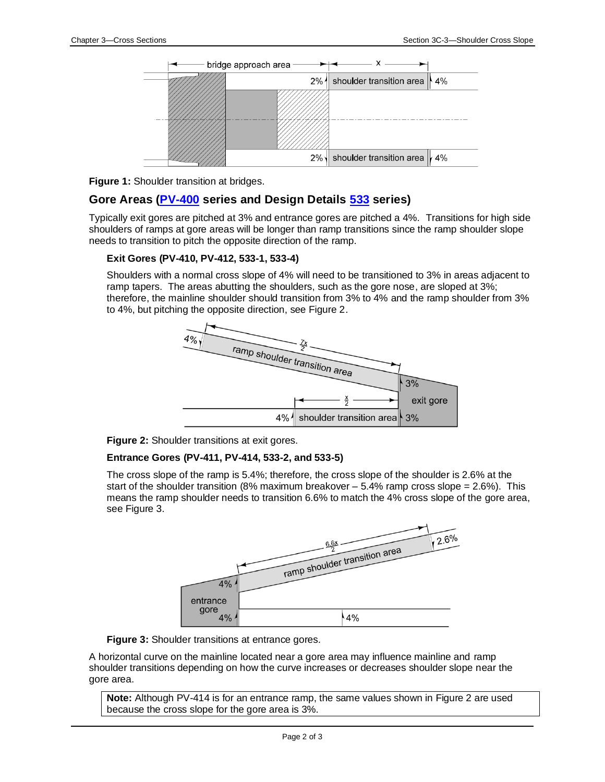



## **Gore Areas [\(PV-400](../stdplne_pv) series and Design Details [533](../500s) series)**

Typically exit gores are pitched at 3% and entrance gores are pitched a 4%. Transitions for high side shoulders of ramps at gore areas will be longer than ramp transitions since the ramp shoulder slope needs to transition to pitch the opposite direction of the ramp.

#### **Exit Gores (PV-410, PV-412, 533-1, 533-4)**

Shoulders with a normal cross slope of 4% will need to be transitioned to 3% in areas adjacent to ramp tapers. The areas abutting the shoulders, such as the gore nose, are sloped at 3%; therefore, the mainline shoulder should transition from 3% to 4% and the ramp shoulder from 3% to 4%, but pitching the opposite direction, see Figure 2.



**Figure 2:** Shoulder transitions at exit gores.

#### **Entrance Gores (PV-411, PV-414, 533-2, and 533-5)**

The cross slope of the ramp is 5.4%; therefore, the cross slope of the shoulder is 2.6% at the start of the shoulder transition (8% maximum breakover  $-5.4\%$  ramp cross slope  $= 2.6\%$ ). This means the ramp shoulder needs to transition 6.6% to match the 4% cross slope of the gore area, see Figure 3.



**Figure 3:** Shoulder transitions at entrance gores.

A horizontal curve on the mainline located near a gore area may influence mainline and ramp shoulder transitions depending on how the curve increases or decreases shoulder slope near the gore area.

**Note:** Although PV-414 is for an entrance ramp, the same values shown in Figure 2 are used because the cross slope for the gore area is 3%.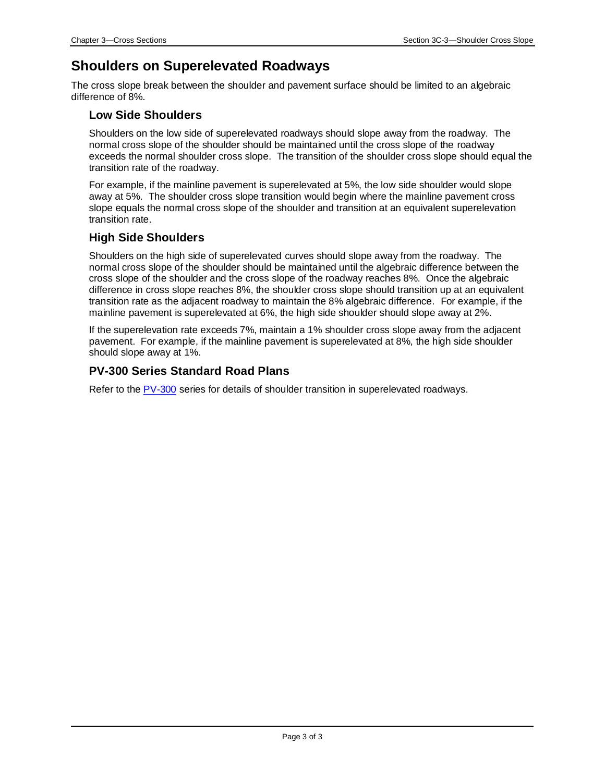## **Shoulders on Superelevated Roadways**

The cross slope break between the shoulder and pavement surface should be limited to an algebraic difference of 8%.

### **Low Side Shoulders**

Shoulders on the low side of superelevated roadways should slope away from the roadway. The normal cross slope of the shoulder should be maintained until the cross slope of the roadway exceeds the normal shoulder cross slope. The transition of the shoulder cross slope should equal the transition rate of the roadway.

For example, if the mainline pavement is superelevated at 5%, the low side shoulder would slope away at 5%. The shoulder cross slope transition would begin where the mainline pavement cross slope equals the normal cross slope of the shoulder and transition at an equivalent superelevation transition rate.

## **High Side Shoulders**

Shoulders on the high side of superelevated curves should slope away from the roadway. The normal cross slope of the shoulder should be maintained until the algebraic difference between the cross slope of the shoulder and the cross slope of the roadway reaches 8%. Once the algebraic difference in cross slope reaches 8%, the shoulder cross slope should transition up at an equivalent transition rate as the adjacent roadway to maintain the 8% algebraic difference. For example, if the mainline pavement is superelevated at 6%, the high side shoulder should slope away at 2%.

If the superelevation rate exceeds 7%, maintain a 1% shoulder cross slope away from the adjacent pavement. For example, if the mainline pavement is superelevated at 8%, the high side shoulder should slope away at 1%.

### **PV-300 Series Standard Road Plans**

Refer to the [PV-300](../stdplne_pv) series for details of shoulder transition in superelevated roadways.